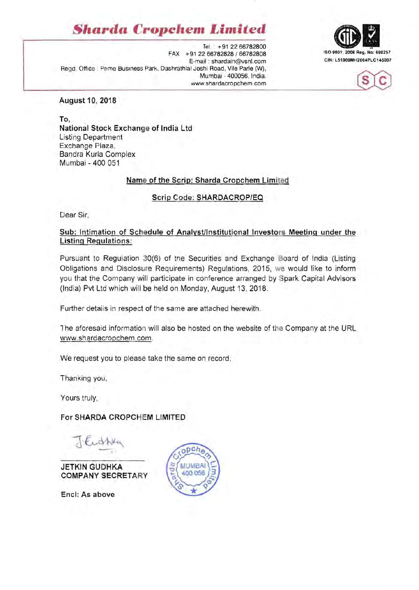# *Sharda* **Cropchem** *Limited*

Tel . +91 2266782800 ISO 9001 : 2008 Reg. No: 690257 FAX . +91 2266782828 / 66782808 E-mail : shardain@vsnl.com Regd. Office . Prime Business Park, Dashrathlal Joshi Road, Vile Parle (W), Mumbal - 400056, India. www.shardacropchem.com





#### August 10, 2018

To, National Stock Exchange of India Ltd Listing Department Exchange Plaza, Bandra Kurla Complex Mumbai - 400 051

### Name of the Scrip: Sharda Cropchem Limited

#### Scrip Code: SHARDACROP/EQ

Dear Sir,

## Sub: Intimation of Schedule of Analyst/Institutional Investors Meeting under the Listing Regulations:

Pursuant to Regulation 30(6) of tne Securities and Exchange Board of India (Listing Obligations and Disclosure Requirements) Regulations, 2015, we would like to inform you that the Company will participate in conference arranged by Spark Capital Advisors (India) Pvt Ltd which will be held on Monday, August 13, 2018,

Further details in respect of the same are attached herewith.

The aforesaid information will also be hosted on the website of the Company at the URL www.shardacropchem .com.

We request you to please take the same on record.

Thanking you,

Yours truly,

### For SHARDA CROPCHEM LIMITED

Euchka

JETKIN GUDHKA COMPANY SECRETARY

Encl: As above